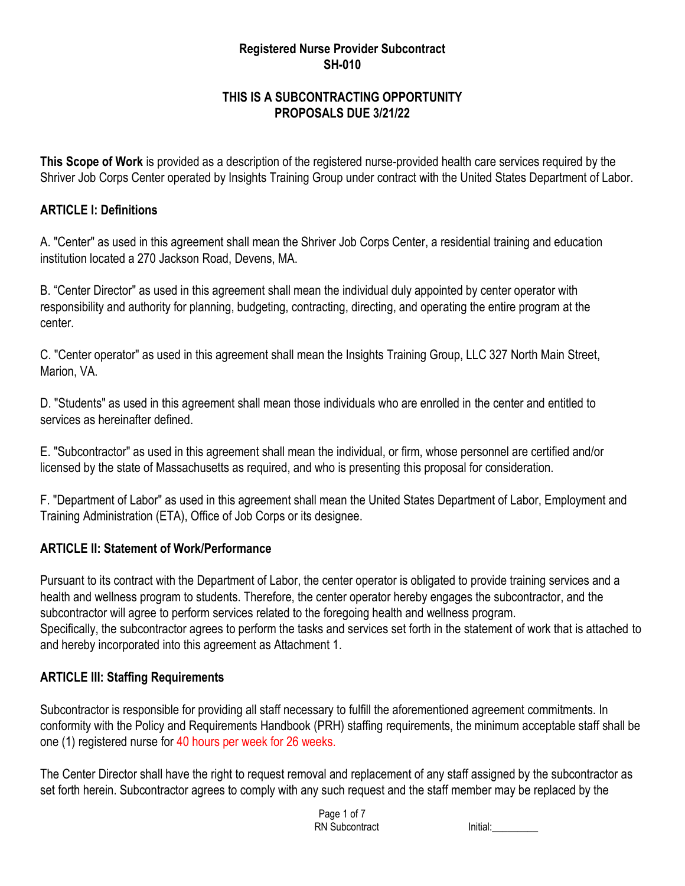#### **Registered Nurse Provider Subcontract SH-010**

## **THIS IS A SUBCONTRACTING OPPORTUNITY PROPOSALS DUE 3/21/22**

**This Scope of Work** is provided as a description of the registered nurse-provided health care services required by the Shriver Job Corps Center operated by Insights Training Group under contract with the United States Department of Labor.

### **ARTICLE I: Definitions**

A. "Center" as used in this agreement shall mean the Shriver Job Corps Center, a residential training and education institution located a 270 Jackson Road, Devens, MA.

B. "Center Director" as used in this agreement shall mean the individual duly appointed by center operator with responsibility and authority for planning, budgeting, contracting, directing, and operating the entire program at the center.

C. "Center operator" as used in this agreement shall mean the Insights Training Group, LLC 327 North Main Street, Marion, VA.

D. "Students" as used in this agreement shall mean those individuals who are enrolled in the center and entitled to services as hereinafter defined.

E. "Subcontractor" as used in this agreement shall mean the individual, or firm, whose personnel are certified and/or licensed by the state of Massachusetts as required, and who is presenting this proposal for consideration.

F. "Department of Labor" as used in this agreement shall mean the United States Department of Labor, Employment and Training Administration (ETA), Office of Job Corps or its designee.

## **ARTICLE II: Statement of Work/Performance**

Pursuant to its contract with the Department of Labor, the center operator is obligated to provide training services and a health and wellness program to students. Therefore, the center operator hereby engages the subcontractor, and the subcontractor will agree to perform services related to the foregoing health and wellness program. Specifically, the subcontractor agrees to perform the tasks and services set forth in the statement of work that is attached to and hereby incorporated into this agreement as Attachment 1.

## **ARTICLE III: Staffing Requirements**

Subcontractor is responsible for providing all staff necessary to fulfill the aforementioned agreement commitments. In conformity with the Policy and Requirements Handbook (PRH) staffing requirements, the minimum acceptable staff shall be one (1) registered nurse for 40 hours per week for 26 weeks.

The Center Director shall have the right to request removal and replacement of any staff assigned by the subcontractor as set forth herein. Subcontractor agrees to comply with any such request and the staff member may be replaced by the

> Page 1 of 7 RN Subcontract Initial: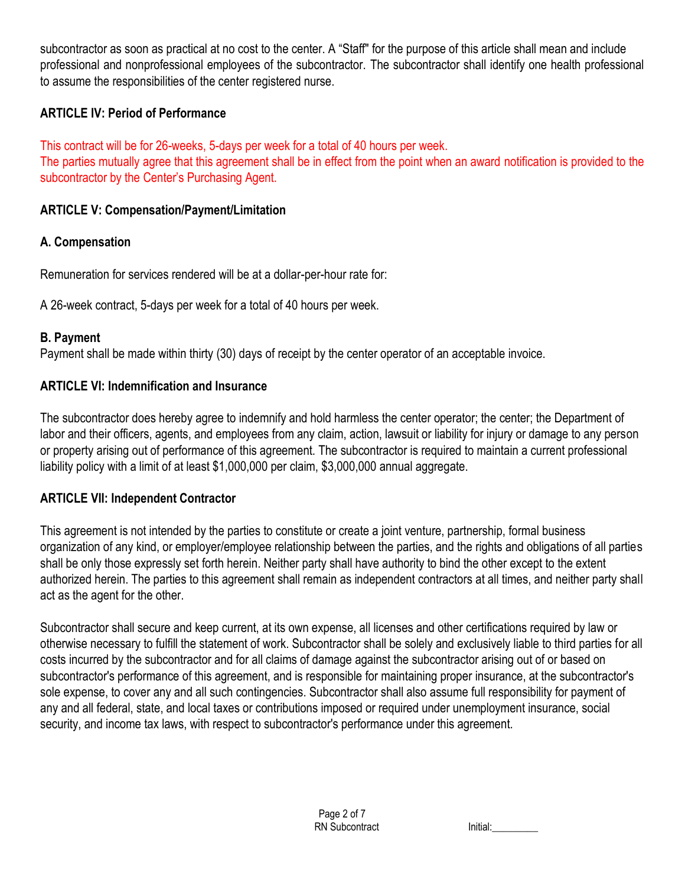subcontractor as soon as practical at no cost to the center. A "Staff" for the purpose of this article shall mean and include professional and nonprofessional employees of the subcontractor. The subcontractor shall identify one health professional to assume the responsibilities of the center registered nurse.

## **ARTICLE IV: Period of Performance**

This contract will be for 26-weeks, 5-days per week for a total of 40 hours per week. The parties mutually agree that this agreement shall be in effect from the point when an award notification is provided to the subcontractor by the Center's Purchasing Agent.

## **ARTICLE V: Compensation/Payment/Limitation**

## **A. Compensation**

Remuneration for services rendered will be at a dollar-per-hour rate for:

A 26-week contract, 5-days per week for a total of 40 hours per week.

## **B. Payment**

Payment shall be made within thirty (30) days of receipt by the center operator of an acceptable invoice.

## **ARTICLE VI: Indemnification and Insurance**

The subcontractor does hereby agree to indemnify and hold harmless the center operator; the center; the Department of labor and their officers, agents, and employees from any claim, action, lawsuit or liability for injury or damage to any person or property arising out of performance of this agreement. The subcontractor is required to maintain a current professional liability policy with a limit of at least \$1,000,000 per claim, \$3,000,000 annual aggregate.

# **ARTICLE VII: Independent Contractor**

This agreement is not intended by the parties to constitute or create a joint venture, partnership, formal business organization of any kind, or employer/employee relationship between the parties, and the rights and obligations of all parties shall be only those expressly set forth herein. Neither party shall have authority to bind the other except to the extent authorized herein. The parties to this agreement shall remain as independent contractors at all times, and neither party shall act as the agent for the other.

Subcontractor shall secure and keep current, at its own expense, all licenses and other certifications required by law or otherwise necessary to fulfill the statement of work. Subcontractor shall be solely and exclusively liable to third parties for all costs incurred by the subcontractor and for all claims of damage against the subcontractor arising out of or based on subcontractor's performance of this agreement, and is responsible for maintaining proper insurance, at the subcontractor's sole expense, to cover any and all such contingencies. Subcontractor shall also assume full responsibility for payment of any and all federal, state, and local taxes or contributions imposed or required under unemployment insurance, social security, and income tax laws, with respect to subcontractor's performance under this agreement.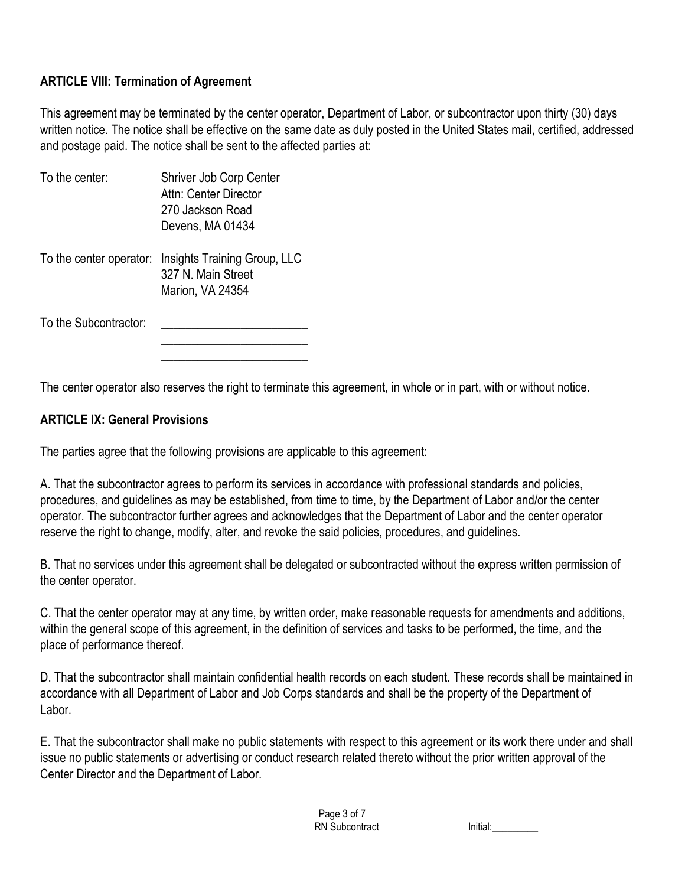### **ARTICLE VIII: Termination of Agreement**

This agreement may be terminated by the center operator, Department of Labor, or subcontractor upon thirty (30) days written notice. The notice shall be effective on the same date as duly posted in the United States mail, certified, addressed and postage paid. The notice shall be sent to the affected parties at:

| To the center:        | Shriver Job Corp Center<br>Attn: Center Director<br>.270 Jackson Road<br>Devens, MA 01434      |
|-----------------------|------------------------------------------------------------------------------------------------|
|                       | To the center operator: Insights Training Group, LLC<br>327 N. Main Street<br>Marion, VA 24354 |
| To the Subcontractor: |                                                                                                |

The center operator also reserves the right to terminate this agreement, in whole or in part, with or without notice.

#### **ARTICLE IX: General Provisions**

The parties agree that the following provisions are applicable to this agreement:

A. That the subcontractor agrees to perform its services in accordance with professional standards and policies, procedures, and guidelines as may be established, from time to time, by the Department of Labor and/or the center operator. The subcontractor further agrees and acknowledges that the Department of Labor and the center operator reserve the right to change, modify, alter, and revoke the said policies, procedures, and guidelines.

B. That no services under this agreement shall be delegated or subcontracted without the express written permission of the center operator.

C. That the center operator may at any time, by written order, make reasonable requests for amendments and additions, within the general scope of this agreement, in the definition of services and tasks to be performed, the time, and the place of performance thereof.

D. That the subcontractor shall maintain confidential health records on each student. These records shall be maintained in accordance with all Department of Labor and Job Corps standards and shall be the property of the Department of Labor.

E. That the subcontractor shall make no public statements with respect to this agreement or its work there under and shall issue no public statements or advertising or conduct research related thereto without the prior written approval of the Center Director and the Department of Labor.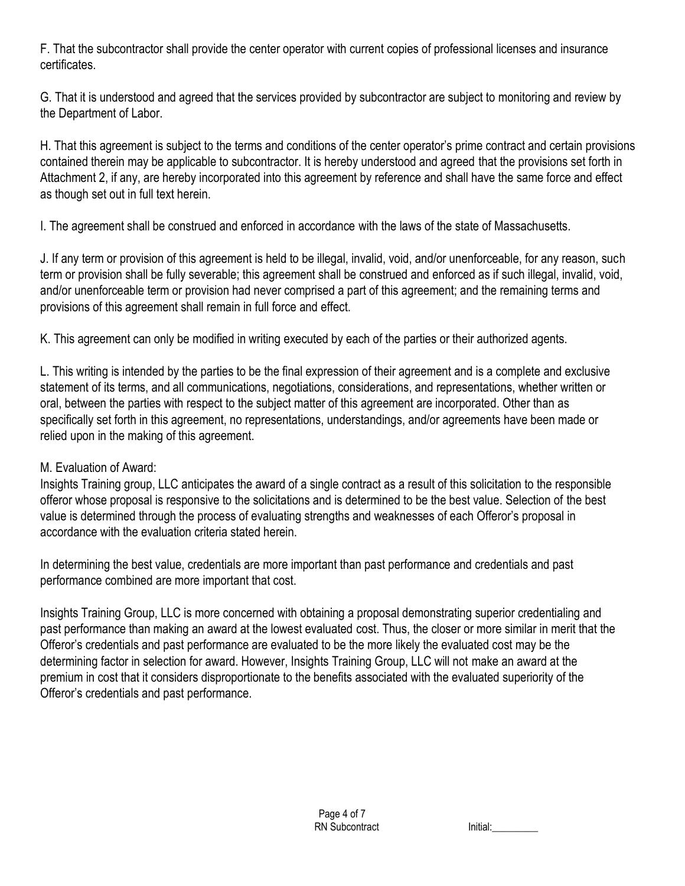F. That the subcontractor shall provide the center operator with current copies of professional licenses and insurance certificates.

G. That it is understood and agreed that the services provided by subcontractor are subject to monitoring and review by the Department of Labor.

H. That this agreement is subject to the terms and conditions of the center operator's prime contract and certain provisions contained therein may be applicable to subcontractor. It is hereby understood and agreed that the provisions set forth in Attachment 2, if any, are hereby incorporated into this agreement by reference and shall have the same force and effect as though set out in full text herein.

I. The agreement shall be construed and enforced in accordance with the laws of the state of Massachusetts.

J. If any term or provision of this agreement is held to be illegal, invalid, void, and/or unenforceable, for any reason, such term or provision shall be fully severable; this agreement shall be construed and enforced as if such illegal, invalid, void, and/or unenforceable term or provision had never comprised a part of this agreement; and the remaining terms and provisions of this agreement shall remain in full force and effect.

K. This agreement can only be modified in writing executed by each of the parties or their authorized agents.

L. This writing is intended by the parties to be the final expression of their agreement and is a complete and exclusive statement of its terms, and all communications, negotiations, considerations, and representations, whether written or oral, between the parties with respect to the subject matter of this agreement are incorporated. Other than as specifically set forth in this agreement, no representations, understandings, and/or agreements have been made or relied upon in the making of this agreement.

# M. Evaluation of Award:

Insights Training group, LLC anticipates the award of a single contract as a result of this solicitation to the responsible offeror whose proposal is responsive to the solicitations and is determined to be the best value. Selection of the best value is determined through the process of evaluating strengths and weaknesses of each Offeror's proposal in accordance with the evaluation criteria stated herein.

In determining the best value, credentials are more important than past performance and credentials and past performance combined are more important that cost.

Insights Training Group, LLC is more concerned with obtaining a proposal demonstrating superior credentialing and past performance than making an award at the lowest evaluated cost. Thus, the closer or more similar in merit that the Offeror's credentials and past performance are evaluated to be the more likely the evaluated cost may be the determining factor in selection for award. However, Insights Training Group, LLC will not make an award at the premium in cost that it considers disproportionate to the benefits associated with the evaluated superiority of the Offeror's credentials and past performance.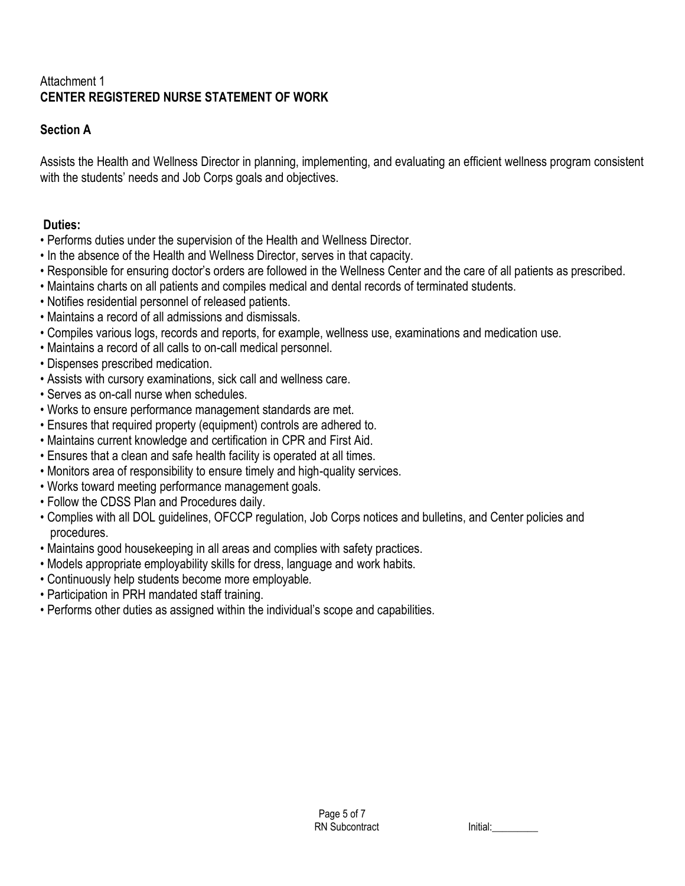## Attachment 1 **CENTER REGISTERED NURSE STATEMENT OF WORK**

# **Section A**

Assists the Health and Wellness Director in planning, implementing, and evaluating an efficient wellness program consistent with the students' needs and Job Corps goals and objectives.

# **Duties:**

- Performs duties under the supervision of the Health and Wellness Director.
- In the absence of the Health and Wellness Director, serves in that capacity.
- Responsible for ensuring doctor's orders are followed in the Wellness Center and the care of all patients as prescribed.
- Maintains charts on all patients and compiles medical and dental records of terminated students.
- Notifies residential personnel of released patients.
- Maintains a record of all admissions and dismissals.
- Compiles various logs, records and reports, for example, wellness use, examinations and medication use.
- Maintains a record of all calls to on-call medical personnel.
- Dispenses prescribed medication.
- Assists with cursory examinations, sick call and wellness care.
- Serves as on-call nurse when schedules.
- Works to ensure performance management standards are met.
- Ensures that required property (equipment) controls are adhered to.
- Maintains current knowledge and certification in CPR and First Aid.
- Ensures that a clean and safe health facility is operated at all times.
- Monitors area of responsibility to ensure timely and high-quality services.
- Works toward meeting performance management goals.
- Follow the CDSS Plan and Procedures daily.
- Complies with all DOL guidelines, OFCCP regulation, Job Corps notices and bulletins, and Center policies and procedures.
- Maintains good housekeeping in all areas and complies with safety practices.
- Models appropriate employability skills for dress, language and work habits.
- Continuously help students become more employable.
- Participation in PRH mandated staff training.
- Performs other duties as assigned within the individual's scope and capabilities.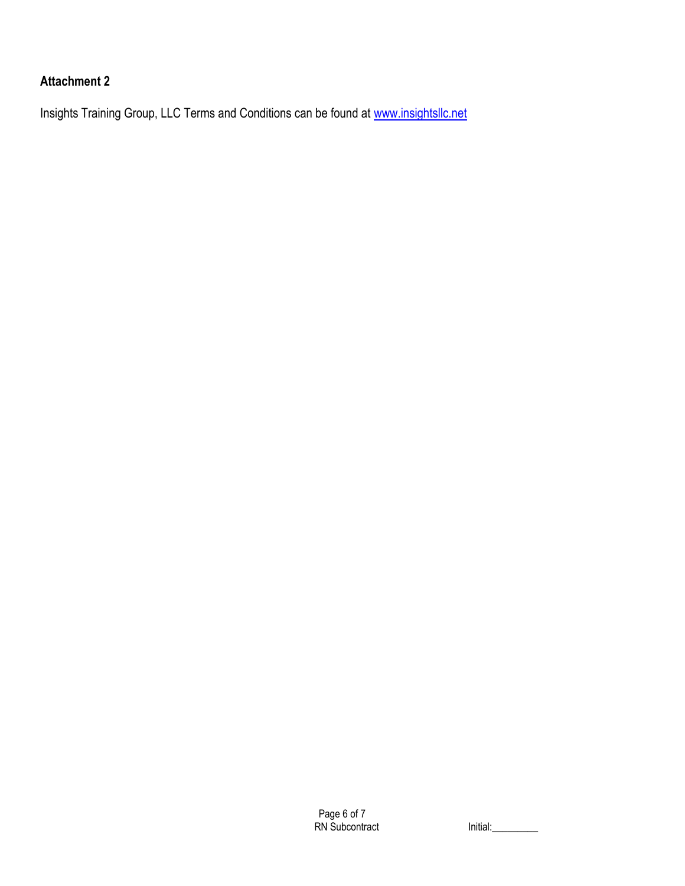# **Attachment 2**

Insights Training Group, LLC Terms and Conditions can be found at [www.insightsllc.net](http://www.insightsllc.net/)